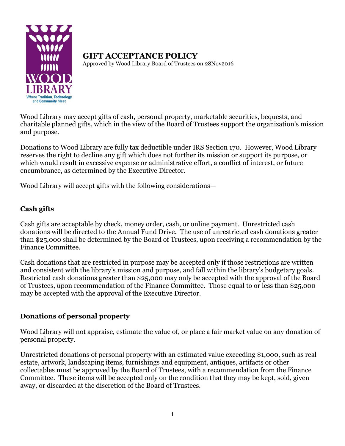

**GIFT ACCEPTANCE POLICY** Approved by Wood Library Board of Trustees on 28Nov2016

Wood Library may accept gifts of cash, personal property, marketable securities, bequests, and charitable planned gifts, which in the view of the Board of Trustees support the organization's mission and purpose.

Donations to Wood Library are fully tax deductible under IRS Section 170. However, Wood Library reserves the right to decline any gift which does not further its mission or support its purpose, or which would result in excessive expense or administrative effort, a conflict of interest, or future encumbrance, as determined by the Executive Director.

Wood Library will accept gifts with the following considerations—

## **Cash gifts**

Cash gifts are acceptable by check, money order, cash, or online payment. Unrestricted cash donations will be directed to the Annual Fund Drive. The use of unrestricted cash donations greater than \$25,000 shall be determined by the Board of Trustees, upon receiving a recommendation by the Finance Committee.

Cash donations that are restricted in purpose may be accepted only if those restrictions are written and consistent with the library's mission and purpose, and fall within the library's budgetary goals. Restricted cash donations greater than \$25,000 may only be accepted with the approval of the Board of Trustees, upon recommendation of the Finance Committee. Those equal to or less than \$25,000 may be accepted with the approval of the Executive Director.

# **Donations of personal property**

Wood Library will not appraise, estimate the value of, or place a fair market value on any donation of personal property.

Unrestricted donations of personal property with an estimated value exceeding \$1,000, such as real estate, artwork, landscaping items, furnishings and equipment, antiques, artifacts or other collectables must be approved by the Board of Trustees, with a recommendation from the Finance Committee. These items will be accepted only on the condition that they may be kept, sold, given away, or discarded at the discretion of the Board of Trustees.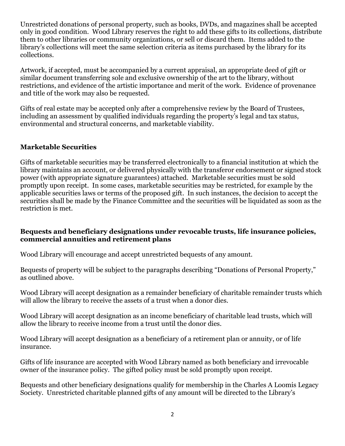Unrestricted donations of personal property, such as books, DVDs, and magazines shall be accepted only in good condition. Wood Library reserves the right to add these gifts to its collections, distribute them to other libraries or community organizations, or sell or discard them. Items added to the library's collections will meet the same selection criteria as items purchased by the library for its collections.

Artwork, if accepted, must be accompanied by a current appraisal, an appropriate deed of gift or similar document transferring sole and exclusive ownership of the art to the library, without restrictions, and evidence of the artistic importance and merit of the work. Evidence of provenance and title of the work may also be requested.

Gifts of real estate may be accepted only after a comprehensive review by the Board of Trustees, including an assessment by qualified individuals regarding the property's legal and tax status, environmental and structural concerns, and marketable viability.

#### **Marketable Securities**

Gifts of marketable securities may be transferred electronically to a financial institution at which the library maintains an account, or delivered physically with the transferor endorsement or signed stock power (with appropriate signature guarantees) attached. Marketable securities must be sold promptly upon receipt. In some cases, marketable securities may be restricted, for example by the applicable securities laws or terms of the proposed gift. In such instances, the decision to accept the securities shall be made by the Finance Committee and the securities will be liquidated as soon as the restriction is met.

#### **Bequests and beneficiary designations under revocable trusts, life insurance policies, commercial annuities and retirement plans**

Wood Library will encourage and accept unrestricted bequests of any amount.

Bequests of property will be subject to the paragraphs describing "Donations of Personal Property," as outlined above.

Wood Library will accept designation as a remainder beneficiary of charitable remainder trusts which will allow the library to receive the assets of a trust when a donor dies.

Wood Library will accept designation as an income beneficiary of charitable lead trusts, which will allow the library to receive income from a trust until the donor dies.

Wood Library will accept designation as a beneficiary of a retirement plan or annuity, or of life insurance.

Gifts of life insurance are accepted with Wood Library named as both beneficiary and irrevocable owner of the insurance policy. The gifted policy must be sold promptly upon receipt.

Bequests and other beneficiary designations qualify for membership in the Charles A Loomis Legacy Society. Unrestricted charitable planned gifts of any amount will be directed to the Library's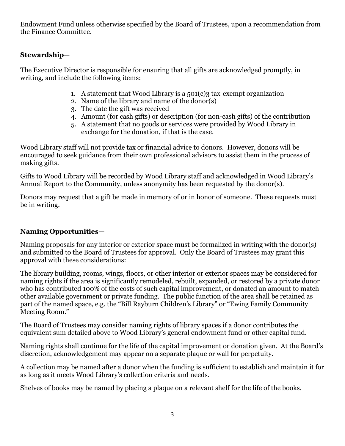Endowment Fund unless otherwise specified by the Board of Trustees, upon a recommendation from the Finance Committee.

### **Stewardship**—

The Executive Director is responsible for ensuring that all gifts are acknowledged promptly, in writing, and include the following items:

- 1. A statement that Wood Library is a  $501(c)$ 3 tax-exempt organization
- 2. Name of the library and name of the donor(s)
- 3. The date the gift was received
- 4. Amount (for cash gifts) or description (for non-cash gifts) of the contribution
- 5. A statement that no goods or services were provided by Wood Library in exchange for the donation, if that is the case.

Wood Library staff will not provide tax or financial advice to donors. However, donors will be encouraged to seek guidance from their own professional advisors to assist them in the process of making gifts.

Gifts to Wood Library will be recorded by Wood Library staff and acknowledged in Wood Library's Annual Report to the Community, unless anonymity has been requested by the donor(s).

Donors may request that a gift be made in memory of or in honor of someone. These requests must be in writing.

## **Naming Opportunities—**

Naming proposals for any interior or exterior space must be formalized in writing with the donor(s) and submitted to the Board of Trustees for approval. Only the Board of Trustees may grant this approval with these considerations:

The library building, rooms, wings, floors, or other interior or exterior spaces may be considered for naming rights if the area is significantly remodeled, rebuilt, expanded, or restored by a private donor who has contributed 100% of the costs of such capital improvement, or donated an amount to match other available government or private funding. The public function of the area shall be retained as part of the named space, e.g. the "Bill Rayburn Children's Library" or "Ewing Family Community Meeting Room."

The Board of Trustees may consider naming rights of library spaces if a donor contributes the equivalent sum detailed above to Wood Library's general endowment fund or other capital fund.

Naming rights shall continue for the life of the capital improvement or donation given. At the Board's discretion, acknowledgement may appear on a separate plaque or wall for perpetuity.

A collection may be named after a donor when the funding is sufficient to establish and maintain it for as long as it meets Wood Library's collection criteria and needs.

Shelves of books may be named by placing a plaque on a relevant shelf for the life of the books.